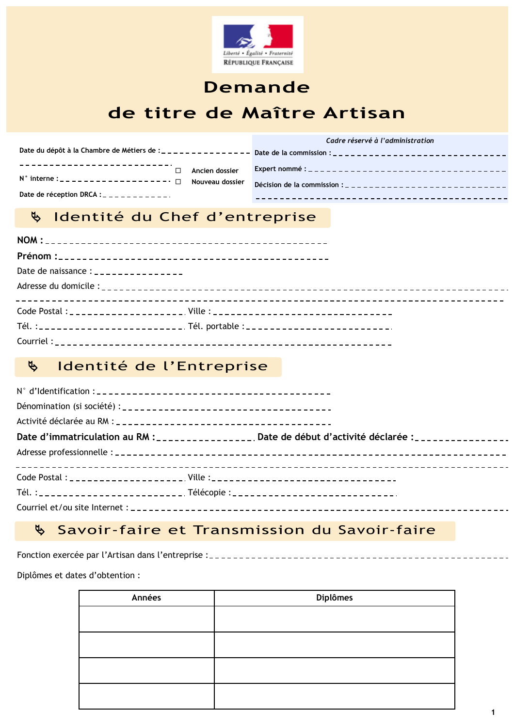

# **Demande** de titre de Maître Artisan

Cadre réservé à l'administration Date du dépôt à la Chambre de Métiers de :\_\_\_\_\_\_\_\_\_\_\_\_\_\_\_ Date de la commission :\_\_\_\_\_\_\_\_\_\_\_\_\_\_\_\_\_\_\_\_\_\_\_\_\_ Ancien dossier Nouveau dossier Date de réception DRCA : \_ \_ \_ \_ \_ \_ \_ \_ \_ \_ \_ \_ \_ \_\_\_\_\_\_\_\_\_\_\_\_\_\_\_\_\_\_\_\_\_\_\_\_\_\_\_\_\_\_\_\_\_\_\_\_

#### Identité du Chef d'entreprise  $\mathfrak{B}$

|           | Date de naissance : _ _ _ _ _ _ _ _ _ _ _ _ _ _ _                                |  |
|-----------|----------------------------------------------------------------------------------|--|
|           |                                                                                  |  |
|           |                                                                                  |  |
|           | Tél. :_________________________ Tél. portable :_________________________________ |  |
| Courriel: |                                                                                  |  |

#### Identité de l'Entreprise  $\mathfrak{B}$

|  | Date d'immatriculation au RM :_________________. Date de début d'activité déclarée :________________ |
|--|------------------------------------------------------------------------------------------------------|
|  |                                                                                                      |
|  |                                                                                                      |
|  |                                                                                                      |
|  |                                                                                                      |

#### Savoir-faire et Transmission du Savoir-faire  $\mathfrak{B}$

Fonction exercée par l'Artisan dans l'entreprise :-------------------

Diplômes et dates d'obtention :

| Années | Diplômes |
|--------|----------|
|        |          |
|        |          |
|        |          |
|        |          |
|        |          |
|        |          |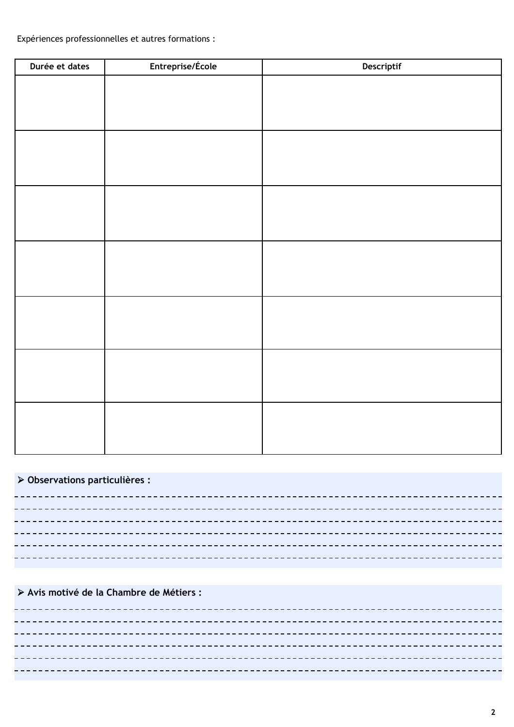Expériences professionnelles et autres formations :

| Durée et dates | Entreprise/École | Descriptif |
|----------------|------------------|------------|
|                |                  |            |
|                |                  |            |
|                |                  |            |
|                |                  |            |
|                |                  |            |
|                |                  |            |
|                |                  |            |
|                |                  |            |
|                |                  |            |
|                |                  |            |
|                |                  |            |
|                |                  |            |
|                |                  |            |
|                |                  |            |
|                |                  |            |
|                |                  |            |
|                |                  |            |
|                |                  |            |
|                |                  |            |
|                |                  |            |
|                |                  |            |

## > Observations particulières :

> Avis motivé de la Chambre de Métiers :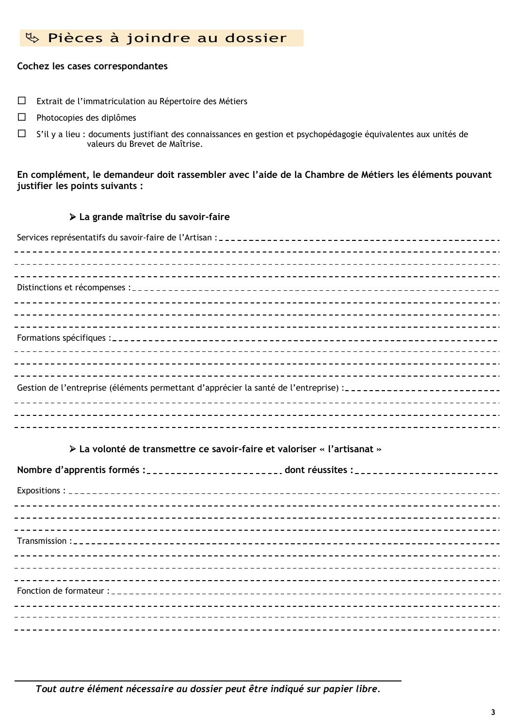# & Pièces à joindre au dossier

### Cochez les cases correspondantes

- $\Box$  Extrait de l'immatriculation au Répertoire des Métiers
- $\Box$ Photocopies des diplômes
- $\Box$ S'il y a lieu : documents justifiant des connaissances en gestion et psychopédagogie équivalentes aux unités de valeurs du Brevet de Maîtrise.

En complément, le demandeur doit rassembler avec l'aide de la Chambre de Métiers les éléments pouvant iustifier les points suivants :

### > La grande maîtrise du savoir-faire

| Gestion de l'entreprise (éléments permettant d'apprécier la santé de l'entreprise) :------------------------- |
|---------------------------------------------------------------------------------------------------------------|
|                                                                                                               |
|                                                                                                               |
|                                                                                                               |

## > La volonté de transmettre ce savoir-faire et valoriser « l'artisanat »

| Nombre d'apprentis formés :_________________________. dont réussites :______________________________ |  |
|------------------------------------------------------------------------------------------------------|--|
|                                                                                                      |  |
|                                                                                                      |  |
|                                                                                                      |  |
|                                                                                                      |  |
|                                                                                                      |  |
|                                                                                                      |  |
|                                                                                                      |  |
|                                                                                                      |  |
|                                                                                                      |  |
|                                                                                                      |  |
|                                                                                                      |  |

Tout autre élément nécessaire au dossier peut être indiqué sur papier libre.